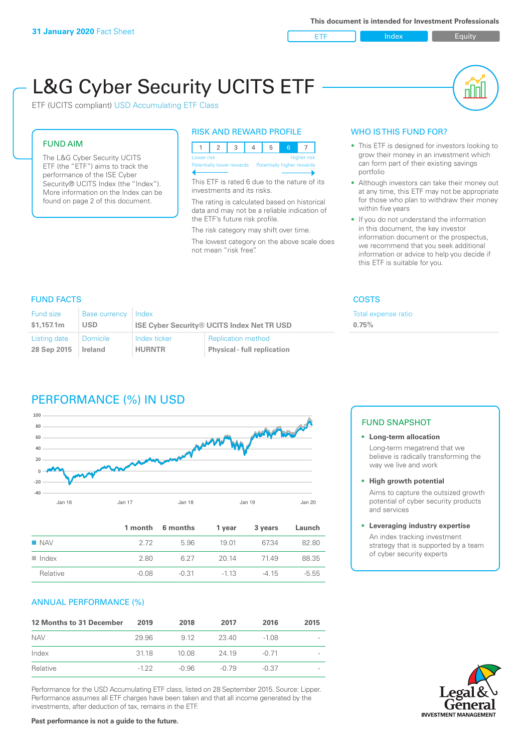ETF Index Buity

nN

# L&G Cyber Security UCITS ETF

ETF (UCITS compliant) USD Accumulating ETF Class

#### FUND AIM

The L&G Cyber Security UCITS ETF (the "ETF") aims to track the performance of the ISE Cyber Security® UCITS Index (the "Index"). More information on the Index can be found on page 2 of this document.

#### RISK AND REWARD PROFILE

| Lower risk<br>Higher risk |  |  |  |  |                                                      |  |  |  |
|---------------------------|--|--|--|--|------------------------------------------------------|--|--|--|
|                           |  |  |  |  | Potentially lower rewards Potentially higher rewards |  |  |  |
|                           |  |  |  |  |                                                      |  |  |  |

This ETF is rated 6 due to the nature of its investments and its risks.

The rating is calculated based on historical data and may not be a reliable indication of the ETF's future risk profile.

The risk category may shift over time. The lowest category on the above scale does not mean "risk free".

#### WHO IS THIS FUND FOR?

- This ETF is designed for investors looking to grow their money in an investment which can form part of their existing savings portfolio
- Although investors can take their money out at any time, this ETF may not be appropriate for those who plan to withdraw their money within five years
- If you do not understand the information in this document, the key investor information document or the prospectus, we recommend that you seek additional information or advice to help you decide if this ETF is suitable for you.

**0.75%**

Total expense ratio

## FUND FACTS COSTS

| Fund size<br><b>Base currency</b><br>\$1.157.1m<br><b>USD</b> |                 | Index<br><b>ISE Cyber Security® UCITS Index Net TR USD</b> |                                    |  |  |
|---------------------------------------------------------------|-----------------|------------------------------------------------------------|------------------------------------|--|--|
| Listing date                                                  | <b>Domicile</b> | Index ticker                                               | <b>Replication method</b>          |  |  |
| 28 Sep 2015                                                   | Ireland         | <b>HURNTR</b>                                              | <b>Physical - full replication</b> |  |  |

# PERFORMANCE (%) IN USD



|                      |         | 1 month 6 months | 1 year | 3 years | Launch  |
|----------------------|---------|------------------|--------|---------|---------|
| $\blacksquare$ NAV   | 2.72    | 5.96             | 19 01  | 6734    | 82.80   |
| $\blacksquare$ Index | 2.80    | 6.27             | 20.14  | 7149    | 88.35   |
| Relative             | $-0.08$ | -0.31            | $-113$ | -4 15   | $-5.55$ |

### ANNUAL PERFORMANCE (%)

| 12 Months to 31 December | 2019   | 2018  | 2017    | 2016    | 2015 |
|--------------------------|--------|-------|---------|---------|------|
| <b>NAV</b>               | 29.96  | 9.12  | 23.40   | -1.08   |      |
| Index                    | 3118   | 10.08 | 24 19   | $-0.71$ |      |
| Relative                 | $-122$ | -0.96 | $-0.79$ | $-0.37$ |      |

Performance for the USD Accumulating ETF class, listed on 28 September 2015. Source: Lipper. Performance assumes all ETF charges have been taken and that all income generated by the investments, after deduction of tax, remains in the ETF.

#### FUND SNAPSHOT

**• Long-term allocation** Long-term megatrend that we believe is radically transforming the way we live and work

**• High growth potential**

Aims to capture the outsized growth potential of cyber security products and services

#### **• Leveraging industry expertise**

An index tracking investment strategy that is supported by a team of cyber security experts



#### **Past performance is not a guide to the future.**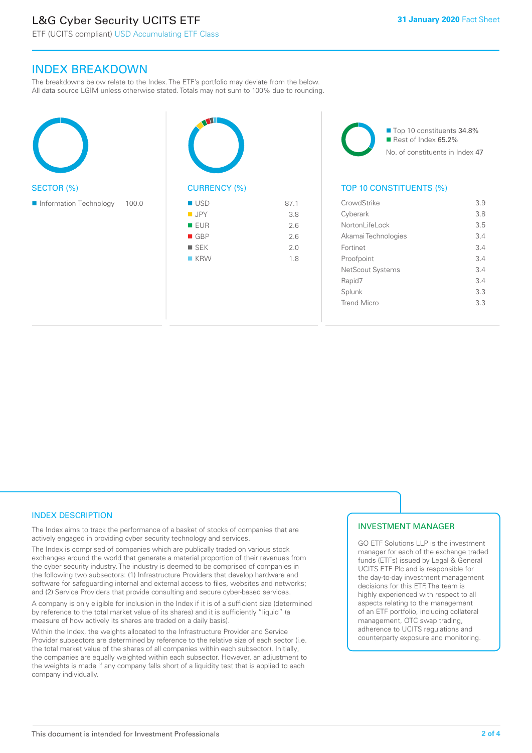# L&G Cyber Security UCITS ETF

# INDEX BREAKDOWN

The breakdowns below relate to the Index. The ETF's portfolio may deviate from the below. All data source LGIM unless otherwise stated. Totals may not sum to 100% due to rounding.





■ Top 10 constituents 34.8% Rest of Index 65.2% No. of constituents in Index 47

#### TOP 10 CONSTITUENTS (%)

| CrowdStrike         | 3.9 |
|---------------------|-----|
| Cyberark            | 3.8 |
| Nortonl ifel ock    | 3.5 |
| Akamai Technologies | 3.4 |
| Fortinet            | 34  |
| Proofpoint          | 3.4 |
| NetScout Systems    | 34  |
| Rapid7              | 34  |
| Splunk              | 3.3 |
| <b>Trend Micro</b>  | 33  |
|                     |     |

#### INDEX DESCRIPTION

The Index aims to track the performance of a basket of stocks of companies that are actively engaged in providing cyber security technology and services.

The Index is comprised of companies which are publically traded on various stock exchanges around the world that generate a material proportion of their revenues from the cyber security industry. The industry is deemed to be comprised of companies in the following two subsectors: (1) Infrastructure Providers that develop hardware and software for safeguarding internal and external access to files, websites and networks; and (2) Service Providers that provide consulting and secure cyber-based services.

A company is only eligible for inclusion in the Index if it is of a sufficient size (determined by reference to the total market value of its shares) and it is sufficiently "liquid" (a measure of how actively its shares are traded on a daily basis).

Within the Index, the weights allocated to the Infrastructure Provider and Service Provider subsectors are determined by reference to the relative size of each sector (i.e. the total market value of the shares of all companies within each subsector). Initially, the companies are equally weighted within each subsector. However, an adjustment to the weights is made if any company falls short of a liquidity test that is applied to each company individually.

#### INVESTMENT MANAGER

GO ETF Solutions LLP is the investment manager for each of the exchange traded funds (ETFs) issued by Legal & General UCITS ETF Plc and is responsible for the day-to-day investment management decisions for this ETF. The team is highly experienced with respect to all aspects relating to the management of an ETF portfolio, including collateral management, OTC swap trading, adherence to UCITS regulations and counterparty exposure and monitoring.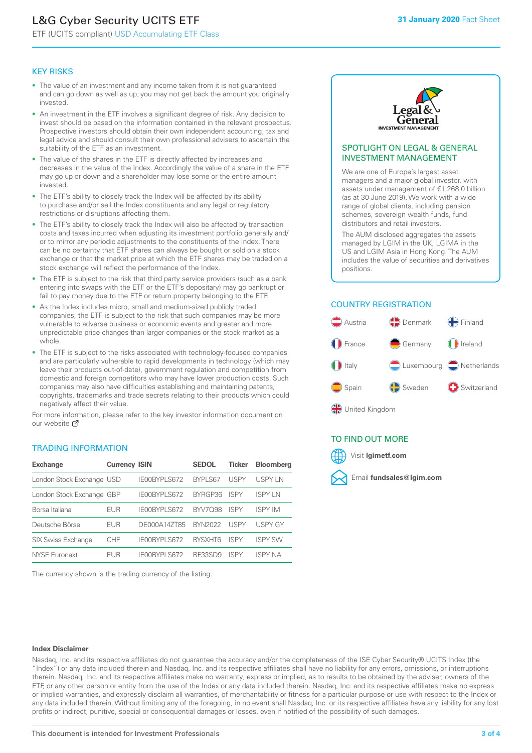# L&G Cyber Security UCITS ETF

ETF (UCITS compliant) USD Accumulating ETF Class

#### KEY RISKS

- The value of an investment and any income taken from it is not guaranteed and can go down as well as up; you may not get back the amount you originally invested.
- An investment in the ETF involves a significant degree of risk. Any decision to invest should be based on the information contained in the relevant prospectus. Prospective investors should obtain their own independent accounting, tax and legal advice and should consult their own professional advisers to ascertain the suitability of the ETF as an investment.
- The value of the shares in the ETF is directly affected by increases and decreases in the value of the Index. Accordingly the value of a share in the ETF may go up or down and a shareholder may lose some or the entire amount invested.
- The ETF's ability to closely track the Index will be affected by its ability to purchase and/or sell the Index constituents and any legal or regulatory restrictions or disruptions affecting them.
- The ETF's ability to closely track the Index will also be affected by transaction costs and taxes incurred when adjusting its investment portfolio generally and/ or to mirror any periodic adjustments to the constituents of the Index. There can be no certainty that ETF shares can always be bought or sold on a stock exchange or that the market price at which the ETF shares may be traded on a stock exchange will reflect the performance of the Index.
- The ETF is subject to the risk that third party service providers (such as a bank entering into swaps with the ETF or the ETF's depositary) may go bankrupt or fail to pay money due to the ETF or return property belonging to the ETF.
- As the Index includes micro, small and medium-sized publicly traded companies, the ETF is subject to the risk that such companies may be more vulnerable to adverse business or economic events and greater and more unpredictable price changes than larger companies or the stock market as a whole.
- The ETF is subject to the risks associated with technology-focused companies and are particularly vulnerable to rapid developments in technology (which may leave their products out-of-date), government regulation and competition from domestic and foreign competitors who may have lower production costs. Such companies may also have difficulties establishing and maintaining patents, copyrights, trademarks and trade secrets relating to their products which could negatively affect their value.

For more information, please refer to the key investor information document on our website Ø

#### TRADING INFORMATION

| <b>Exchange</b>           | <b>Currency ISIN</b> |              | <b>SEDOL</b>   | Ticker      | <b>Bloomberg</b> |
|---------------------------|----------------------|--------------|----------------|-------------|------------------|
| London Stock Exchange USD |                      | IE00BYPLS672 | <b>BYPLS67</b> | USPY        | <b>USPY IN</b>   |
| London Stock Exchange GBP |                      | IE00BYPLS672 | BYRGP36        | <b>ISPY</b> | <b>ISPY IN</b>   |
| Borsa Italiana            | EUR                  | IE00BYPLS672 | <b>BYV7098</b> | <b>ISPY</b> | <b>ISPY IM</b>   |
| Deutsche Börse            | EUR                  | DE000A14ZT85 | <b>BYN2022</b> | USPY        | <b>USPY GY</b>   |
| <b>SIX Swiss Exchange</b> | CHF                  | IE00BYPLS672 | <b>RYSXHT6</b> | <b>ISPY</b> | <b>ISPY SW</b>   |
| <b>NYSE Euronext</b>      | <b>FUR</b>           | IE00BYPLS672 | <b>BE33SD9</b> | <b>ISPY</b> | <b>ISPY NA</b>   |

The currency shown is the trading currency of the listing.



#### SPOTLIGHT ON LEGAL & GENERAL INVESTMENT MANAGEMENT

We are one of Europe's largest asset managers and a major global investor, with assets under management of €1,268.0 billion (as at 30 June 2019). We work with a wide range of global clients, including pension schemes, sovereign wealth funds, fund distributors and retail investors.

The AUM disclosed aggregates the assets managed by LGIM in the UK, LGIMA in the US and LGIM Asia in Hong Kong. The AUM includes the value of securities and derivatives positions.

#### COUNTRY REGISTRATION



#### TO FIND OUT MORE



#### **Index Disclaimer**

Nasdaq, Inc. and its respective affiliates do not guarantee the accuracy and/or the completeness of the ISE Cyber Security® UCITS Index (the "Index") or any data included therein and Nasdaq, Inc. and its respective affiliates shall have no liability for any errors, omissions, or interruptions therein. Nasdaq, Inc. and its respective affiliates make no warranty, express or implied, as to results to be obtained by the adviser, owners of the ETF, or any other person or entity from the use of the Index or any data included therein. Nasdaq, Inc. and its respective affiliates make no express or implied warranties, and expressly disclaim all warranties, of merchantability or fitness for a particular purpose or use with respect to the Index or any data included therein. Without limiting any of the foregoing, in no event shall Nasdaq, Inc. or its respective affiliates have any liability for any lost profits or indirect, punitive, special or consequential damages or losses, even if notified of the possibility of such damages.